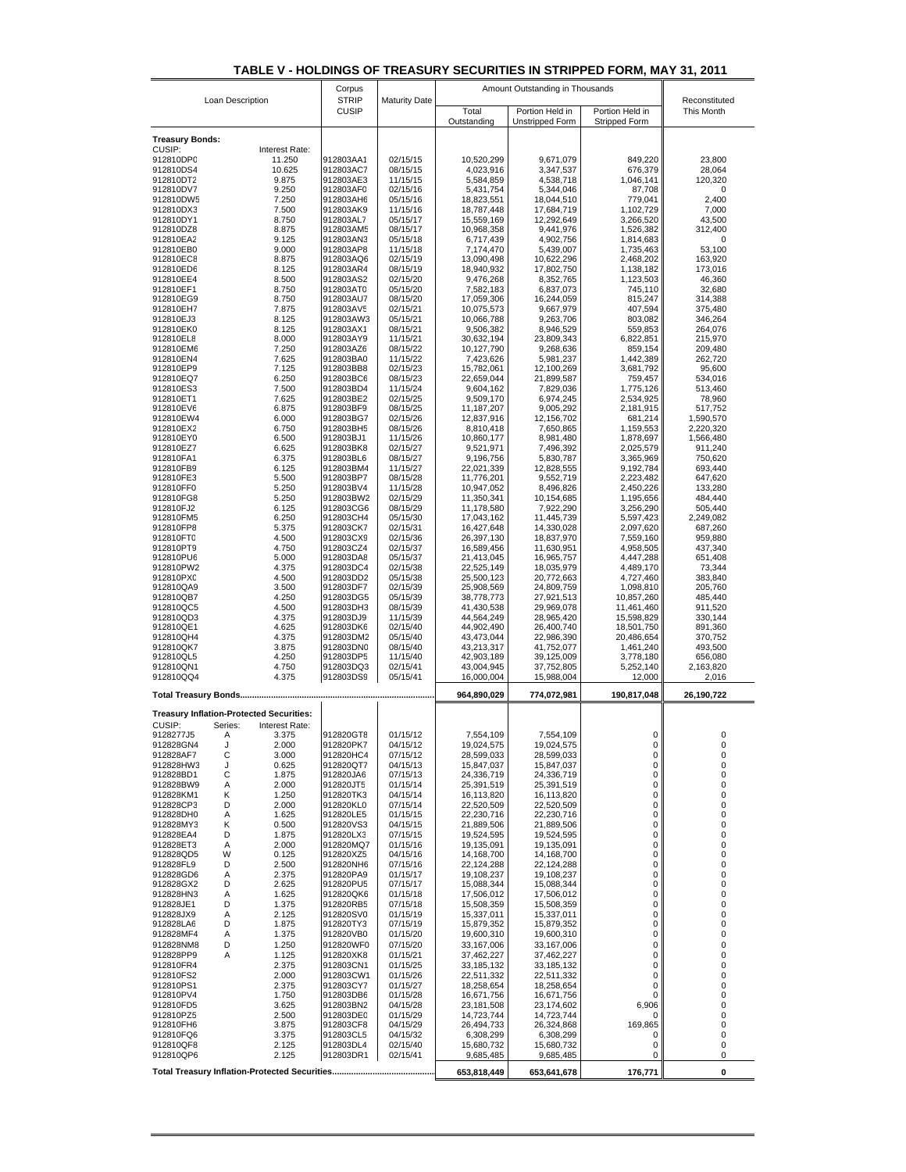| TABLE V - HOLDINGS OF TREASURY SECURITIES IN STRIPPED FORM. MAY 31. 2011 |
|--------------------------------------------------------------------------|
|--------------------------------------------------------------------------|

|                        |              | Corpus                                          | <b>Maturity Date</b>   | Amount Outstanding in Thousands |                            |                            |                          |                             |
|------------------------|--------------|-------------------------------------------------|------------------------|---------------------------------|----------------------------|----------------------------|--------------------------|-----------------------------|
| Loan Description       |              |                                                 |                        | <b>STRIP</b><br><b>CUSIP</b>    | Total                      | Portion Held in            | Portion Held in          | Reconstituted<br>This Month |
|                        |              |                                                 |                        |                                 | Outstanding                | <b>Unstripped Form</b>     | Stripped Form            |                             |
| <b>Treasury Bonds:</b> |              |                                                 |                        |                                 |                            |                            |                          |                             |
| CUSIP:<br>912810DP0    |              | Interest Rate:<br>11.250                        | 912803AA1              | 02/15/15                        | 10,520,299                 | 9,671,079                  | 849,220                  | 23,800                      |
| 912810DS4              |              | 10.625                                          | 912803AC7              | 08/15/15                        | 4,023,916                  | 3,347,537                  | 676,379                  | 28,064                      |
| 912810DT2<br>912810DV7 |              | 9.875<br>9.250                                  | 912803AE3<br>912803AF0 | 11/15/15<br>02/15/16            | 5,584,859<br>5,431,754     | 4,538,718<br>5,344,046     | 1,046,141<br>87,708      | 120,320<br>0                |
| 912810DW5              |              | 7.250                                           | 912803AH6              | 05/15/16                        | 18,823,551                 | 18,044,510                 | 779,041                  | 2,400                       |
| 912810DX3              |              | 7.500<br>8.750                                  | 912803AK9<br>912803AL7 | 11/15/16<br>05/15/17            | 18,787,448                 | 17,684,719                 | 1,102,729                | 7,000                       |
| 912810DY1<br>912810DZ8 |              | 8.875                                           | 912803AM5              | 08/15/17                        | 15,559,169<br>10,968,358   | 12,292,649<br>9,441,976    | 3,266,520<br>1,526,382   | 43,500<br>312,400           |
| 912810EA2              |              | 9.125                                           | 912803AN3              | 05/15/18                        | 6,717,439                  | 4,902,756                  | 1,814,683                | 0                           |
| 912810EB0<br>912810EC8 |              | 9.000<br>8.875                                  | 912803AP8<br>912803AQ6 | 11/15/18<br>02/15/19            | 7,174,470<br>13,090,498    | 5,439,007<br>10,622,296    | 1,735,463<br>2,468,202   | 53,100<br>163,920           |
| 912810ED6              |              | 8.125                                           | 912803AR4              | 08/15/19                        | 18,940,932                 | 17,802,750                 | 1,138,182                | 173,016                     |
| 912810EE4              |              | 8.500                                           | 912803AS2              | 02/15/20                        | 9,476,268                  | 8,352,765                  | 1,123,503                | 46,360                      |
| 912810EF1<br>912810EG9 |              | 8.750<br>8.750                                  | 912803AT0<br>912803AU7 | 05/15/20<br>08/15/20            | 7,582,183<br>17,059,306    | 6,837,073<br>16,244,059    | 745,110<br>815,247       | 32,680<br>314,388           |
| 912810EH7              |              | 7.875                                           | 912803AV5              | 02/15/21                        | 10,075,573                 | 9,667,979                  | 407,594                  | 375,480                     |
| 912810EJ3              |              | 8.125                                           | 912803AW3              | 05/15/21                        | 10,066,788                 | 9,263,706                  | 803,082                  | 346,264                     |
| 912810EK0<br>912810EL8 |              | 8.125<br>8.000                                  | 912803AX1<br>912803AY9 | 08/15/21<br>11/15/21            | 9,506,382<br>30,632,194    | 8,946,529<br>23,809,343    | 559,853<br>6,822,851     | 264,076<br>215,970          |
| 912810EM6              |              | 7.250                                           | 912803AZ6              | 08/15/22                        | 10,127,790                 | 9,268,636                  | 859,154                  | 209,480                     |
| 912810EN4              |              | 7.625                                           | 912803BA0              | 11/15/22                        | 7,423,626                  | 5,981,237                  | 1,442,389                | 262,720                     |
| 912810EP9<br>912810EQ7 |              | 7.125<br>6.250                                  | 912803BB8<br>912803BC6 | 02/15/23<br>08/15/23            | 15,782,061<br>22,659,044   | 12,100,269<br>21,899,587   | 3,681,792<br>759,457     | 95,600<br>534,016           |
| 912810ES3              |              | 7.500                                           | 912803BD4              | 11/15/24                        | 9,604,162                  | 7,829,036                  | 1,775,126                | 513,460                     |
| 912810ET1              |              | 7.625                                           | 912803BE2              | 02/15/25                        | 9,509,170                  | 6,974,245                  | 2,534,925                | 78,960                      |
| 912810EV6<br>912810EW4 |              | 6.875<br>6.000                                  | 912803BF9<br>912803BG7 | 08/15/25<br>02/15/26            | 11, 187, 207<br>12,837,916 | 9,005,292<br>12,156,702    | 2,181,915<br>681,214     | 517,752<br>1,590,570        |
| 912810EX2              |              | 6.750                                           | 912803BH5              | 08/15/26                        | 8,810,418                  | 7,650,865                  | 1,159,553                | 2,220,320                   |
| 912810EY0              |              | 6.500                                           | 912803BJ1              | 11/15/26                        | 10,860,177                 | 8,981,480                  | 1,878,697                | 1,566,480                   |
| 912810EZ7<br>912810FA1 |              | 6.625<br>6.375                                  | 912803BK8<br>912803BL6 | 02/15/27<br>08/15/27            | 9,521,971<br>9,196,756     | 7,496,392<br>5,830,787     | 2,025,579<br>3,365,969   | 911,240<br>750,620          |
| 912810FB9              |              | 6.125                                           | 912803BM4              | 11/15/27                        | 22,021,339                 | 12,828,555                 | 9,192,784                | 693,440                     |
| 912810FE3              |              | 5.500                                           | 912803BP7              | 08/15/28                        | 11,776,201                 | 9,552,719                  | 2,223,482                | 647,620                     |
| 912810FF0<br>912810FG8 |              | 5.250<br>5.250                                  | 912803BV4<br>912803BW2 | 11/15/28<br>02/15/29            | 10,947,052<br>11,350,341   | 8,496,826<br>10,154,685    | 2,450,226<br>1,195,656   | 133,280<br>484,440          |
| 912810FJ2              |              | 6.125                                           | 912803CG6              | 08/15/29                        | 11,178,580                 | 7,922,290                  | 3,256,290                | 505,440                     |
| 912810FM5              |              | 6.250                                           | 912803CH4              | 05/15/30                        | 17,043,162                 | 11,445,739                 | 5,597,423                | 2,249,082                   |
| 912810FP8<br>912810FT0 |              | 5.375<br>4.500                                  | 912803CK7<br>912803CX9 | 02/15/31<br>02/15/36            | 16,427,648<br>26,397,130   | 14,330,028<br>18,837,970   | 2,097,620<br>7,559,160   | 687,260<br>959,880          |
| 912810PT9              |              | 4.750                                           | 912803CZ4              | 02/15/37                        | 16,589,456                 | 11,630,951                 | 4,958,505                | 437,340                     |
| 912810PU6              |              | 5.000                                           | 912803DA8              | 05/15/37                        | 21,413,045                 | 16,965,757                 | 4,447,288                | 651,408                     |
| 912810PW2<br>912810PX0 |              | 4.375<br>4.500                                  | 912803DC4<br>912803DD2 | 02/15/38<br>05/15/38            | 22,525,149<br>25,500,123   | 18,035,979<br>20,772,663   | 4,489,170<br>4,727,460   | 73,344<br>383,840           |
| 912810QA9              |              | 3.500                                           | 912803DF7              | 02/15/39                        | 25,908,569                 | 24,809,759                 | 1,098,810                | 205,760                     |
| 912810QB7              |              | 4.250                                           | 912803DG5              | 05/15/39                        | 38,778,773                 | 27,921,513                 | 10,857,260               | 485,440                     |
| 912810QC5<br>912810QD3 |              | 4.500<br>4.375                                  | 912803DH3<br>912803DJ9 | 08/15/39<br>11/15/39            | 41,430,538<br>44,564,249   | 29,969,078<br>28,965,420   | 11,461,460<br>15,598,829 | 911,520<br>330,144          |
| 912810QE1              |              | 4.625                                           | 912803DK6              | 02/15/40                        | 44,902,490                 | 26,400,740                 | 18,501,750               | 891,360                     |
| 912810QH4              |              | 4.375                                           | 912803DM2              | 05/15/40                        | 43,473,044                 | 22,986,390                 | 20,486,654               | 370,752                     |
| 912810QK7<br>912810QL5 |              | 3.875<br>4.250                                  | 912803DN0<br>912803DP5 | 08/15/40<br>11/15/40            | 43,213,317<br>42,903,189   | 41,752,077<br>39,125,009   | 1,461,240<br>3,778,180   | 493,500<br>656,080          |
| 912810QN1              |              | 4.750                                           | 912803DQ3              | 02/15/41                        | 43,004,945                 | 37,752,805                 | 5,252,140                | 2,163,820                   |
| 912810QQ4              |              | 4.375                                           | 912803DS9              | 05/15/41                        | 16,000,004                 | 15,988,004                 | 12,000                   | 2,016                       |
|                        |              |                                                 |                        |                                 | 964,890,029                | 774,072,981                | 190,817,048              | 26,190,722                  |
|                        |              | <b>Treasury Inflation-Protected Securities:</b> |                        |                                 |                            |                            |                          |                             |
| CUSIP:<br>9128277J5    | Series:<br>Α | Interest Rate:<br>3.375                         | 912820GT8              | 01/15/12                        | 7,554,109                  | 7,554,109                  | 0                        | 0                           |
| 912828GN4              | J            | 2.000                                           | 912820PK7              | 04/15/12                        | 19,024,575                 | 19,024,575                 | O                        | 0                           |
| 912828AF7              | С            | 3.000                                           | 912820HC4              | 07/15/12                        | 28,599,033                 | 28,599,033                 | 0                        | 0                           |
| 912828HW3<br>912828BD1 | J<br>С       | 0.625<br>1.875                                  | 912820QT7<br>912820JA6 | 04/15/13<br>07/15/13            | 15,847,037<br>24,336,719   | 15,847,037<br>24,336,719   | 0<br>0                   | 0<br>0                      |
| 912828BW9              | Α            | 2.000                                           | 912820JT5              | 01/15/14                        | 25,391,519                 | 25,391,519                 | 0                        | 0                           |
| 912828KM1<br>912828CP3 | κ<br>D       | 1.250                                           | 912820TK3<br>912820KL0 | 04/15/14                        | 16,113,820                 | 16,113,820                 | 0<br>0                   | 0<br>0                      |
| 912828DH0              | Α            | 2.000<br>1.625                                  | 912820LE5              | 07/15/14<br>01/15/15            | 22,520,509<br>22,230,716   | 22,520,509<br>22,230,716   | 0                        | 0                           |
| 912828MY3              | κ            | 0.500                                           | 912820VS3              | 04/15/15                        | 21,889,506                 | 21,889,506                 | 0                        | 0                           |
| 912828EA4<br>912828ET3 | D<br>Α       | 1.875<br>2.000                                  | 912820LX3<br>912820MQ7 | 07/15/15                        | 19,524,595<br>19,135,091   | 19,524,595                 | 0<br>0                   | 0<br>0                      |
| 912828QD5              | W            | 0.125                                           | 912820XZ5              | 01/15/16<br>04/15/16            | 14,168,700                 | 19,135,091<br>14,168,700   | 0                        | 0                           |
| 912828FL9              | D            | 2.500                                           | 912820NH6              | 07/15/16                        | 22,124,288                 | 22,124,288                 | 0                        | 0                           |
| 912828GD6<br>912828GX2 | Α<br>D       | 2.375<br>2.625                                  | 912820PA9<br>912820PU5 | 01/15/17<br>07/15/17            | 19,108,237<br>15,088,344   | 19,108,237<br>15,088,344   | 0<br>0                   | 0<br>0                      |
| 912828HN3              | Α            | 1.625                                           | 912820QK6              | 01/15/18                        | 17,506,012                 | 17,506,012                 | 0                        | 0                           |
| 912828JE1              | D            | 1.375                                           | 912820RB5              | 07/15/18                        | 15,508,359                 | 15,508,359                 | 0                        | 0                           |
| 912828JX9<br>912828LA6 | Α<br>D       | 2.125<br>1.875                                  | 912820SV0<br>912820TY3 | 01/15/19<br>07/15/19            | 15,337,011<br>15,879,352   | 15,337,011<br>15,879,352   | 0<br>0                   | 0<br>0                      |
| 912828MF4              | Α            | 1.375                                           | 912820VB0              | 01/15/20                        | 19,600,310                 | 19,600,310                 | 0                        | 0                           |
| 912828NM8              | D            | 1.250                                           | 912820WF0              | 07/15/20                        | 33,167,006                 | 33,167,006                 | 0                        | 0                           |
| 912828PP9              | Α            | 1.125<br>2.375                                  | 912820XK8              | 01/15/21                        | 37,462,227                 | 37,462,227                 | 0<br>0                   | 0<br>0                      |
| 912810FR4<br>912810FS2 |              | 2.000                                           | 912803CN1<br>912803CW1 | 01/15/25<br>01/15/26            | 33, 185, 132<br>22,511,332 | 33, 185, 132<br>22,511,332 | 0                        | 0                           |
| 912810PS1              |              | 2.375                                           | 912803CY7              | 01/15/27                        | 18,258,654                 | 18,258,654                 | 0                        | 0                           |
| 912810PV4<br>912810FD5 |              | 1.750<br>3.625                                  | 912803DB6<br>912803BN2 | 01/15/28<br>04/15/28            | 16,671,756<br>23,181,508   | 16,671,756<br>23,174,602   | 0<br>6,906               | 0<br>0                      |
| 912810PZ5              |              | 2.500                                           | 912803DE0              | 01/15/29                        | 14,723,744                 | 14,723,744                 | 0                        | 0                           |
| 912810FH6              |              | 3.875                                           | 912803CF8              | 04/15/29                        | 26,494,733                 | 26,324,868                 | 169,865                  | 0                           |
| 912810FQ6<br>912810QF8 |              | 3.375<br>2.125                                  | 912803CL5<br>912803DL4 | 04/15/32<br>02/15/40            | 6,308,299<br>15,680,732    | 6,308,299<br>15,680,732    | 0<br>0                   | 0<br>0                      |
| 912810QP6              |              | 2.125                                           | 912803DR1              | 02/15/41                        | 9,685,485                  | 9,685,485                  | 0                        | 0                           |
|                        |              |                                                 |                        |                                 | 653,818,449                | 653,641,678                | 176,771                  | 0                           |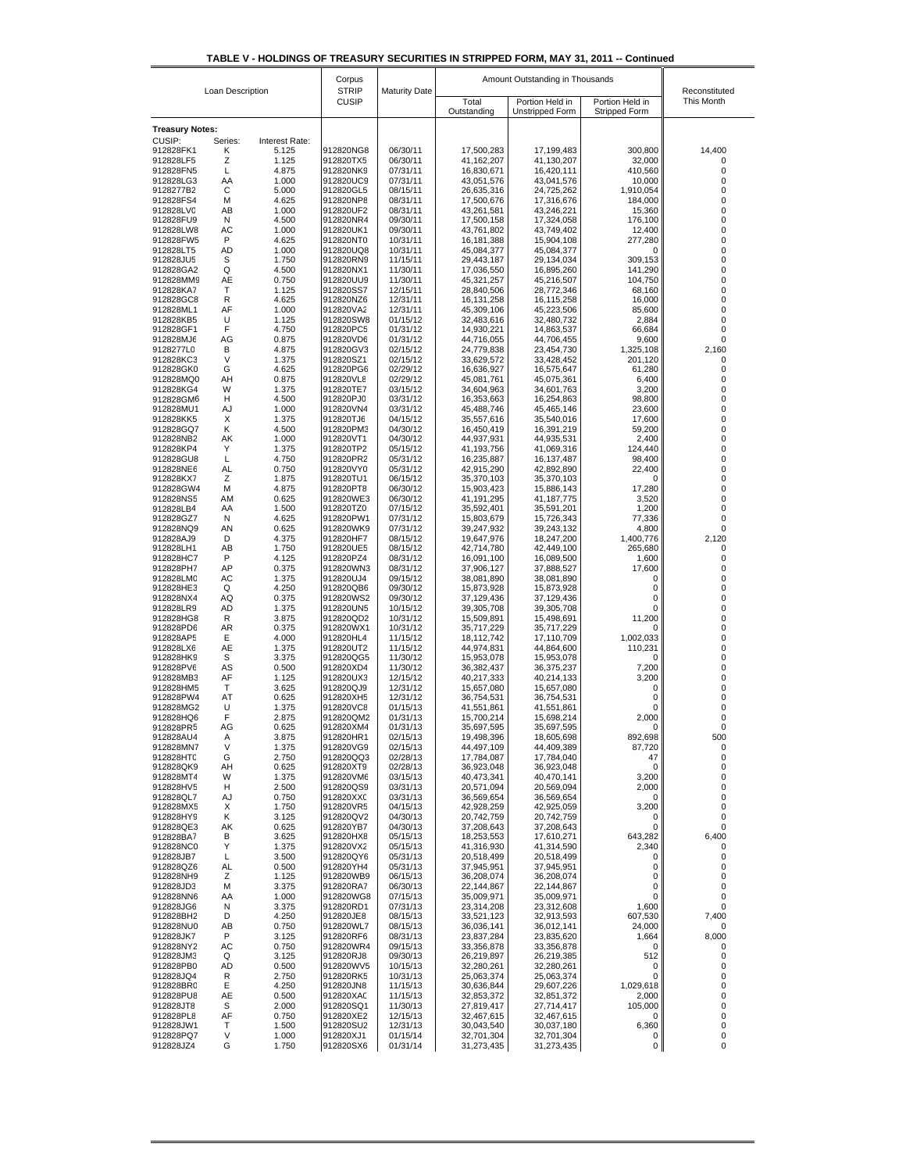|  | TABLE V - HOLDINGS OF TREASURY SECURITIES IN STRIPPED FORM. MAY 31, 2011 -- Continued |  |  |
|--|---------------------------------------------------------------------------------------|--|--|

| Loan Description       |         |                | Corpus<br><b>STRIP</b> | <b>Maturity Date</b> | Amount Outstanding in Thousands | Reconstituted                      |                                         |            |
|------------------------|---------|----------------|------------------------|----------------------|---------------------------------|------------------------------------|-----------------------------------------|------------|
|                        |         |                | <b>CUSIP</b>           |                      | Total<br>Outstanding            | Portion Held in<br>Unstripped Form | Portion Held in<br><b>Stripped Form</b> | This Month |
| <b>Treasury Notes:</b> |         |                |                        |                      |                                 |                                    |                                         |            |
| CUSIP:                 | Series: | Interest Rate: |                        |                      |                                 |                                    |                                         |            |
| 912828FK1              | κ       | 5.125          | 912820NG8              | 06/30/11             | 17,500,283                      | 17,199,483                         | 300,800                                 | 14,400     |
| 912828LF5<br>912828FN5 | Ζ<br>L  | 1.125<br>4.875 | 912820TX5<br>912820NK9 | 06/30/11<br>07/31/11 | 41,162,207<br>16,830,671        | 41,130,207<br>16,420,111           | 32,000<br>410,560                       | 0<br>0     |
| 912828LG3              | AA      | 1.000          | 912820UC9              | 07/31/11             | 43,051,576                      | 43,041,576                         | 10,000                                  | 0          |
| 9128277B2              | С       | 5.000          | 912820GL5              | 08/15/11             | 26,635,316                      | 24,725,262                         | 1,910,054                               | 0          |
| 912828FS4<br>912828LV0 | М<br>AB | 4.625<br>1.000 | 912820NP8<br>912820UF2 | 08/31/11<br>08/31/11 | 17,500,676<br>43,261,581        | 17,316,676<br>43,246,221           | 184,000<br>15,360                       | 0<br>0     |
| 912828FU9              | N       | 4.500          | 912820NR4              | 09/30/11             | 17,500,158                      | 17,324,058                         | 176,100                                 | 0          |
| 912828LW8              | AC      | 1.000          | 912820UK1              | 09/30/11             | 43,761,802                      | 43,749,402                         | 12,400                                  | 0          |
| 912828FW5<br>912828LT5 | P<br>AD | 4.625<br>1.000 | 912820NT0<br>912820UQ8 | 10/31/11<br>10/31/11 | 16,181,388<br>45,084,377        | 15,904,108<br>45,084,377           | 277,280<br>0                            | 0<br>0     |
| 912828JU5              | S       | 1.750          | 912820RN9              | 11/15/11             | 29,443,187                      | 29,134,034                         | 309,153                                 | 0          |
| 912828GA2              | Q       | 4.500          | 912820NX1              | 11/30/11             | 17,036,550                      | 16,895,260                         | 141,290                                 | 0          |
| 912828MM9<br>912828KA7 | AE<br>т | 0.750<br>1.125 | 912820UU9<br>912820SS7 | 11/30/11<br>12/15/11 | 45,321,257<br>28,840,506        | 45,216,507<br>28,772,346           | 104,750<br>68,160                       | 0<br>0     |
| 912828GC8              | R       | 4.625          | 912820NZ6              | 12/31/11             | 16, 131, 258                    | 16,115,258                         | 16,000                                  | 0          |
| 912828ML1              | AF      | 1.000          | 912820VA2              | 12/31/11             | 45,309,106                      | 45,223,506                         | 85,600                                  | 0          |
| 912828KB5              | U       | 1.125          | 912820SW8              | 01/15/12             | 32,483,616                      | 32,480,732                         | 2,884                                   | 0          |
| 912828GF1<br>912828MJ6 | F<br>AG | 4.750<br>0.875 | 912820PC5<br>912820VD6 | 01/31/12<br>01/31/12 | 14,930,221<br>44,716,055        | 14,863,537<br>44,706,455           | 66,684<br>9,600                         | 0<br>0     |
| 9128277L0              | B       | 4.875          | 912820GV3              | 02/15/12             | 24,779,838                      | 23,454,730                         | 1,325,108                               | 2,160      |
| 912828KC3              | V       | 1.375          | 912820SZ1              | 02/15/12<br>02/29/12 | 33,629,572                      | 33,428,452                         | 201,120                                 | 0<br>0     |
| 912828GK0<br>912828MQ0 | G<br>AΗ | 4.625<br>0.875 | 912820PG6<br>912820VL8 | 02/29/12             | 16,636,927<br>45,081,761        | 16,575,647<br>45,075,361           | 61,280<br>6,400                         | 0          |
| 912828KG4              | W       | 1.375          | 912820TE7              | 03/15/12             | 34,604,963                      | 34,601,763                         | 3,200                                   | 0          |
| 912828GM6              | н       | 4.500          | 912820PJ0              | 03/31/12             | 16,353,663                      | 16,254,863                         | 98,800                                  | 0          |
| 912828MU1<br>912828KK5 | AJ<br>Х | 1.000<br>1.375 | 912820VN4<br>912820TJ6 | 03/31/12<br>04/15/12 | 45,488,746<br>35,557,616        | 45,465,146<br>35,540,016           | 23,600<br>17,600                        | 0<br>0     |
| 912828GQ7              | Κ       | 4.500          | 912820PM3              | 04/30/12             | 16,450,419                      | 16,391,219                         | 59,200                                  | 0          |
| 912828NB2              | AK      | 1.000          | 912820VT1              | 04/30/12             | 44,937,931                      | 44,935,531                         | 2,400                                   | 0          |
| 912828KP4<br>912828GU8 | Υ<br>L  | 1.375<br>4.750 | 912820TP2<br>912820PR2 | 05/15/12<br>05/31/12 | 41,193,756<br>16,235,887        | 41,069,316<br>16, 137, 487         | 124,440<br>98.400                       | 0<br>0     |
| 912828NE6              | AL      | 0.750          | 912820VY0              | 05/31/12             | 42,915,290                      | 42,892,890                         | 22,400                                  | 0          |
| 912828KX7              | Z       | 1.875          | 912820TU1              | 06/15/12             | 35,370,103                      | 35,370,103                         | 0                                       | 0          |
| 912828GW4<br>912828NS5 | М<br>AM | 4.875<br>0.625 | 912820PT8<br>912820WE3 | 06/30/12<br>06/30/12 | 15,903,423<br>41,191,295        | 15,886,143<br>41, 187, 775         | 17,280<br>3,520                         | 0<br>0     |
| 912828LB4              | AA      | 1.500          | 912820TZ0              | 07/15/12             | 35,592,401                      | 35,591,201                         | 1,200                                   | 0          |
| 912828GZ7              | N       | 4.625          | 912820PW1              | 07/31/12             | 15,803,679                      | 15,726,343                         | 77,336                                  | 0          |
| 912828NQ9              | AN<br>D | 0.625          | 912820WK9              | 07/31/12             | 39,247,932                      | 39,243,132                         | 4,800                                   | 0          |
| 912828AJ9<br>912828LH1 | AB      | 4.375<br>1.750 | 912820HF7<br>912820UE5 | 08/15/12<br>08/15/12 | 19,647,976<br>42,714,780        | 18,247,200<br>42,449,100           | 1,400,776<br>265,680                    | 2,120<br>0 |
| 912828HC7              | P       | 4.125          | 912820PZ4              | 08/31/12             | 16,091,100                      | 16,089,500                         | 1,600                                   | 0          |
| 912828PH7              | AP      | 0.375          | 912820WN3              | 08/31/12             | 37,906,127                      | 37,888,527                         | 17,600                                  | 0          |
| 912828LMC<br>912828HE3 | AC<br>Q | 1.375<br>4.250 | 912820UJ4<br>912820QB6 | 09/15/12<br>09/30/12 | 38,081,890<br>15,873,928        | 38,081,890<br>15,873,928           | 0<br>0                                  | 0<br>0     |
| 912828NX4              | AQ      | 0.375          | 912820WS2              | 09/30/12             | 37,129,436                      | 37,129,436                         | 0                                       | 0          |
| 912828LR9              | AD      | 1.375          | 912820UN5              | 10/15/12             | 39,305,708                      | 39,305,708                         | 0                                       | 0          |
| 912828HG8<br>912828PD6 | R<br>AR | 3.875<br>0.375 | 912820QD2<br>912820WX1 | 10/31/12<br>10/31/12 | 15,509,891<br>35,717,229        | 15,498,691<br>35,717,229           | 11,200<br>0                             | 0<br>0     |
| 912828AP5              | Ε       | 4.000          | 912820HL4              | 11/15/12             | 18,112,742                      | 17,110,709                         | 1,002,033                               | 0          |
| 912828LX6              | AE      | 1.375          | 912820UT2              | 11/15/12             | 44,974,831                      | 44,864,600                         | 110,231                                 | 0          |
| 912828HK9<br>912828PV6 | S<br>AS | 3.375<br>0.500 | 912820QG5<br>912820XD4 | 11/30/12<br>11/30/12 | 15,953,078<br>36,382,437        | 15,953,078<br>36,375,237           | 0<br>7,200                              | 0<br>0     |
| 912828MB3              | AF      | 1.125          | 912820UX3              | 12/15/12             | 40,217,333                      | 40,214,133                         | 3,200                                   | 0          |
| 912828HM5              | т       | 3.625          | 912820QJ9              | 12/31/12             | 15,657,080                      | 15,657,080                         | 0                                       | 0          |
| 912828PW4<br>912828MG2 | AT<br>U | 0.625<br>1.375 | 912820XH5<br>912820VC8 | 12/31/12<br>01/15/13 | 36,754,531<br>41,551,861        | 36,754,531<br>41,551,861           | 0<br>0                                  | 0<br>0     |
| 912828HQ6              | F       | 2.875          | 912820QM2              | 01/31/13             | 15,700,214                      | 15,698,214                         | 2,000                                   | 0          |
| 912828PR5              | AG      | 0.625          | 912820XM4              | 01/31/13             | 35,697,595                      | 35,697,595                         | 0                                       | 0          |
| 912828AU4<br>912828MN7 | Α<br>V  | 3.875<br>1.375 | 912820HR1<br>912820VG9 | 02/15/13<br>02/15/13 | 19,498,396<br>44,497,109        | 18,605,698<br>44,409,389           | 892,698<br>87,720                       | 500<br>0   |
| 912828HT0              | G       | 2.750          | 912820QQ3              | 02/28/13             | 17,784,087                      | 17,784,040                         | 47                                      | 0          |
| 912828QK9              | AH      | 0.625          | 912820XT9              | 02/28/13             | 36,923,048                      | 36,923,048                         | 0                                       | 0          |
| 912828MT4              | W<br>н  | 1.375<br>2.500 | 912820VM6              | 03/15/13<br>03/31/13 | 40,473,341<br>20,571,094        | 40,470,141                         | 3,200<br>2,000                          | 0<br>0     |
| 912828HV5<br>912828QL7 | AJ      | 0.750          | 912820QS9<br>912820XXC | 03/31/13             | 36,569,654                      | 20,569,094<br>36,569,654           | 0                                       | 0          |
| 912828MX5              | Х       | 1.750          | 912820VR5              | 04/15/13             | 42,928,259                      | 42,925,059                         | 3,200                                   | 0          |
| 912828HY9              | Κ       | 3.125          | 912820QV2              | 04/30/13             | 20,742,759                      | 20,742,759<br>37,208,643           | 0                                       | 0          |
| 912828QE3<br>912828BA7 | AK<br>B | 0.625<br>3.625 | 912820YB7<br>912820HX8 | 04/30/13<br>05/15/13 | 37,208,643<br>18,253,553        | 17,610,271                         | 0<br>643,282                            | 0<br>6,400 |
| 912828NC0              | Υ       | 1.375          | 912820VX2              | 05/15/13             | 41,316,930                      | 41,314,590                         | 2,340                                   | 0          |
| 912828JB7              | L       | 3.500          | 912820QY6              | 05/31/13             | 20,518,499                      | 20,518,499                         | 0                                       | 0          |
| 912828QZ6<br>912828NH9 | AL<br>Ζ | 0.500<br>1.125 | 912820YH4<br>912820WB9 | 05/31/13<br>06/15/13 | 37,945,951<br>36,208,074        | 37,945,951<br>36,208,074           | 0<br>0                                  | 0<br>0     |
| 912828JD3              | М       | 3.375          | 912820RA7              | 06/30/13             | 22,144,867                      | 22,144,867                         | 0                                       | 0          |
| 912828NN6              | AA      | 1.000          | 912820WG8              | 07/15/13             | 35,009,971                      | 35,009,971                         | 0                                       | 0          |
| 912828JG6<br>912828BH2 | N<br>D  | 3.375<br>4.250 | 912820RD1<br>912820JE8 | 07/31/13<br>08/15/13 | 23,314,208<br>33,521,123        | 23,312,608<br>32,913,593           | 1,600<br>607,530                        | 0<br>7,400 |
| 912828NU0              | AB      | 0.750          | 912820WL7              | 08/15/13             | 36,036,141                      | 36,012,141                         | 24,000                                  | 0          |
| 912828JK7              | P       | 3.125          | 912820RF6              | 08/31/13             | 23,837,284                      | 23,835,620                         | 1,664                                   | 8,000      |
| 912828NY2              | AC<br>Q | 0.750          | 912820WR4              | 09/15/13<br>09/30/13 | 33,356,878                      | 33,356,878                         | 0<br>512                                | 0<br>0     |
| 912828JM3<br>912828PB0 | AD      | 3.125<br>0.500 | 912820RJ8<br>912820WV5 | 10/15/13             | 26,219,897<br>32,280,261        | 26,219,385<br>32,280,261           | 0                                       | 0          |
| 912828JQ4              | R       | 2.750          | 912820RK5              | 10/31/13             | 25,063,374                      | 25,063,374                         | 0                                       | 0          |
| 912828BR0              | Ε       | 4.250          | 912820JN8              | 11/15/13             | 30,636,844                      | 29,607,226                         | 1,029,618                               | 0<br>0     |
| 912828PU8<br>912828JT8 | AE<br>S | 0.500<br>2.000 | 912820XAC<br>912820SQ1 | 11/15/13<br>11/30/13 | 32,853,372<br>27,819,417        | 32,851,372<br>27,714,417           | 2,000<br>105,000                        | 0          |
| 912828PL8              | AF      | 0.750          | 912820XE2              | 12/15/13             | 32,467,615                      | 32,467,615                         | 0                                       | 0          |
| 912828JW1              | Т       | 1.500          | 912820SU2              | 12/31/13             | 30,043,540                      | 30,037,180                         | 6,360                                   | 0          |
| 912828PQ7<br>912828JZ4 | V<br>G  | 1.000<br>1.750 | 912820XJ1<br>912820SX6 | 01/15/14<br>01/31/14 | 32,701,304<br>31,273,435        | 32,701,304<br>31,273,435           | 0<br>0                                  | 0<br>0     |